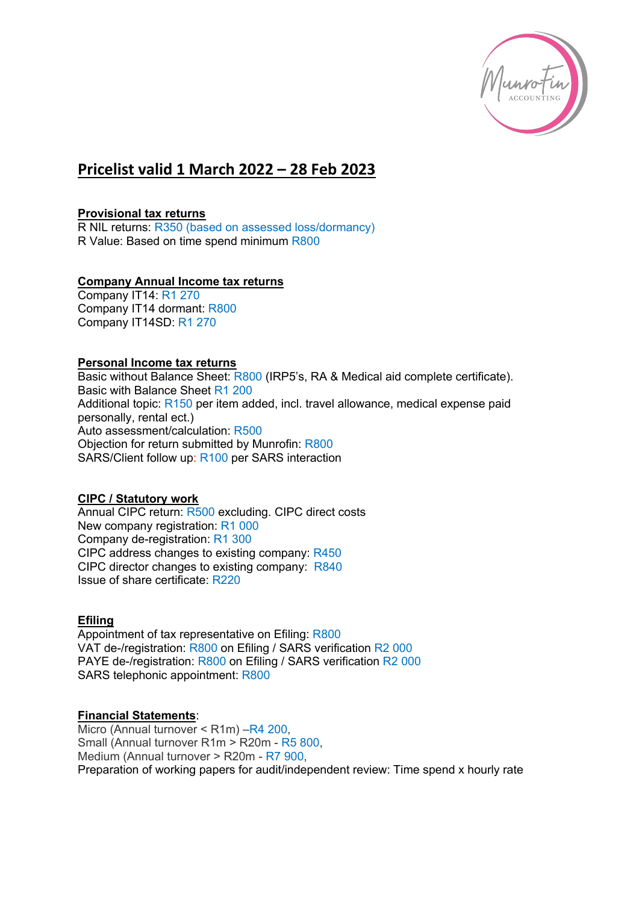

# **Pricelist valid 1 March 2022 – 28 Feb 2023**

#### **Provisional tax returns**

R NIL returns: R350 (based on assessed loss/dormancy) R Value: Based on time spend minimum R800

#### **Company Annual Income tax returns**

Company IT14: R1 270 Company IT14 dormant: R800 Company IT14SD: R1 270

#### **Personal Income tax returns**

Basic without Balance Sheet: R800 (IRP5's, RA & Medical aid complete certificate). Basic with Balance Sheet R1 200 Additional topic: R150 per item added, incl. travel allowance, medical expense paid personally, rental ect.) Auto assessment/calculation: R500 Objection for return submitted by Munrofin: R800 SARS/Client follow up: R100 per SARS interaction

#### **CIPC / Statutory work**

Annual CIPC return: R500 excluding. CIPC direct costs New company registration: R1 000 Company de-registration: R1 300 CIPC address changes to existing company: R450 CIPC director changes to existing company: R840 Issue of share certificate: R220

#### **Efiling**

Appointment of tax representative on Efiling: R800 VAT de-/registration: R800 on Efiling / SARS verification R2 000 PAYE de-/registration: R800 on Efiling / SARS verification R2 000 SARS telephonic appointment: R800

#### **Financial Statements**:

Micro (Annual turnover < R1m) –R4 200, Small (Annual turnover R1m > R20m - R5 800, Medium (Annual turnover > R20m - R7 900, Preparation of working papers for audit/independent review: Time spend x hourly rate